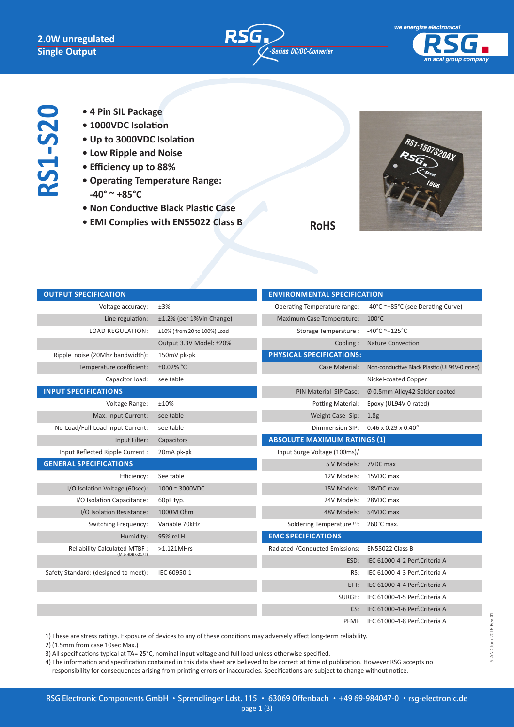**RS1-S20**





- **4 Pin SIL Package**
- **1000VDC Isolation**
- **Up to 3000VDC Isolation**
- **Low Ripple and Noise**
- **Efficiency up to 88%**
- **Operating Temperature Range: -40° ~ +85°C**
- **Non Conductive Black Plastic Case**
- **EMI Complies with EN55022 Class B**



**RoHS**

| <b>OUTPUT SPECIFICATION</b>                             |                             | <b>ENVIRONMENTAL SPECIFICATION</b>     |                                              |
|---------------------------------------------------------|-----------------------------|----------------------------------------|----------------------------------------------|
| Voltage accuracy:                                       | ±3%                         | Operating Temperature range:           | -40°C ~+85°C (see Derating Curve)            |
| Line regulation:                                        | ±1.2% (per 1%Vin Change)    | Maximum Case Temperature:              | $100^{\circ}$ C                              |
| <b>LOAD REGULATION:</b>                                 | ±10% (from 20 to 100%) Load | Storage Temperature:                   | $-40^{\circ}$ C ~+125°C                      |
|                                                         | Output 3.3V Model: ±20%     | Cooling:                               | <b>Nature Convection</b>                     |
| Ripple noise (20Mhz bandwidth):                         | 150mV pk-pk                 | PHYSICAL SPECIFICATIONS:               |                                              |
| Temperature coefficient:                                | ±0.02% °C                   | Case Material:                         | Non-conductive Black Plastic (UL94V-0 rated) |
| Capacitor load:                                         | see table                   |                                        | Nickel-coated Copper                         |
| <b>INPUT SPECIFICATIONS</b>                             |                             | PIN Material SIP Case:                 | Ø 0.5mm Alloy42 Solder-coated                |
| Voltage Range:                                          | ±10%                        | Potting Material:                      | Epoxy (UL94V-0 rated)                        |
| Max. Input Current:                                     | see table                   | Weight Case-Sip:                       | 1.8 <sub>g</sub>                             |
| No-Load/Full-Load Input Current:                        | see table                   | Dimmension SIP:                        | $0.46 \times 0.29 \times 0.40$ "             |
| Input Filter:                                           | Capacitors                  | <b>ABSOLUTE MAXIMUM RATINGS (1)</b>    |                                              |
| Input Reflected Ripple Current :                        | 20mA pk-pk                  | Input Surge Voltage (100ms)/           |                                              |
| <b>GENERAL SPECIFICATIONS</b>                           |                             | 5 V Models:                            | 7VDC max                                     |
| Efficiency:                                             | See table                   | 12V Models:                            | 15VDC max                                    |
| I/O Isolation Voltage (60sec):                          | 1000 ~ 3000VDC              | 15V Models:                            | 18VDC max                                    |
| I/O Isolation Capacitance:                              | 60pF typ.                   | 24V Models:                            | 28VDC max                                    |
| I/O Isolation Resistance:                               | 1000M Ohm                   | 48V Models:                            | 54VDC max                                    |
| Switching Frequency:                                    | Variable 70kHz              | Soldering Temperature <sup>(2)</sup> : | 260°C max.                                   |
| Humidity:                                               | 95% rel H                   | <b>EMC SPECIFICATIONS</b>              |                                              |
| <b>Reliability Calculated MTBF:</b><br>(MIL-HDBK-217 f) | $>1.121$ MHrs               | Radiated-/Conducted Emissions:         | EN55022 Class B                              |
|                                                         |                             | ESD:                                   | IEC 61000-4-2 Perf.Criteria A                |
| Safety Standard: (designed to meet):                    | IEC 60950-1                 | RS:                                    | IEC 61000-4-3 Perf.Criteria A                |
|                                                         |                             | EFT:                                   | IEC 61000-4-4 Perf.Criteria A                |
|                                                         |                             | SURGE:                                 | IEC 61000-4-5 Perf.Criteria A                |
|                                                         |                             | CS:                                    | IEC 61000-4-6 Perf.Criteria A                |
|                                                         |                             | <b>PFMF</b>                            | IEC 61000-4-8 Perf.Criteria A                |

1) These are stress ratings. Exposure of devices to any of these conditions may adversely affect long-term reliability.

2) (1.5mm from case 10sec Max.)

3) All specifications typical at TA= 25°C, nominal input voltage and full load unless otherwise specified.

4) The information and specification contained in this data sheet are believed to be correct at time of publication. However RSG accepts no responsibility for consequences arising from printing errors or inaccuracies. Specifications are subject to change without notice.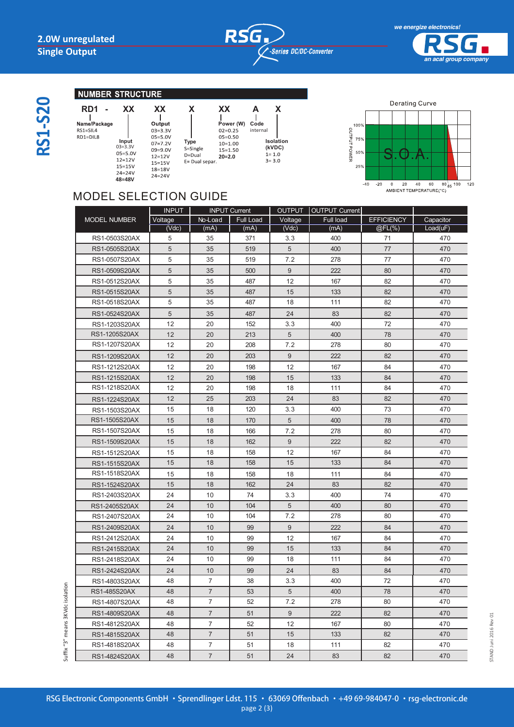



## **NUMBER STRUCTURE**

| ŗ, |  |
|----|--|
|    |  |
|    |  |
|    |  |
|    |  |

## **RD1 - XX XX X XX** Name/Package RS1=SIL4<br>RS1=DIL8 **Input**<br>
03=3.3V **Prope**<br>
00-0.0V **S**=Sin D=Dual  $12=12V$ <br> $15=15V$  $12 = 12V$ E= Dual separ 15=15V<br>24=24V  $18 = 18V$  $24 = 24V$ **48=48V**

**Power (W) Code A X** internal **Isolation**  $(kVDC)$ <br> $1=1.0$ <br> $3=3.0$ 

**20=2.0**

 $10=1.00$  $15 = 1.50$ 



## MODEL SELECTION GUIDE

| Full load<br><b>EFFICIENCY</b><br>Capacitor<br><b>MODEL NUMBER</b><br>Voltage<br>No-Load<br>Full Load<br>Voltage<br>Load(uF)<br>(Vdc)<br>(mA)<br>(mA)<br>(Vdc)<br>(mA)<br>@FL(%)<br>5<br>35<br>371<br>400<br>71<br>RS1-0503S20AX<br>3.3<br>470<br>5<br>35<br>5<br>400<br>77<br>470<br>RS1-0505S20AX<br>519<br>5<br>77<br>RS1-0507S20AX<br>35<br>519<br>7.2<br>278<br>470<br>5<br>35<br>9<br>222<br>80<br>RS1-0509S20AX<br>500<br>470<br>5<br>35<br>12<br>167<br>82<br>RS1-0512S20AX<br>487<br>470<br>5<br>RS1-0515S20AX<br>35<br>487<br>15<br>133<br>82<br>470<br>RS1-0518S20AX<br>5<br>35<br>111<br>82<br>487<br>18<br>470<br>5<br>487<br>83<br>82<br>RS1-0524S20AX<br>35<br>24<br>470<br>RS1-1203S20AX<br>12<br>20<br>152<br>3.3<br>400<br>72<br>470<br>RS1-1205S20AX<br>12<br>20<br>213<br>5<br>400<br>78<br>470<br>RS1-1207S20AX<br>12<br>20<br>208<br>7.2<br>278<br>80<br>470<br>12<br>20<br>203<br>$9\,$<br>222<br>82<br>470<br>RS1-1209S20AX<br>12<br>20<br>198<br>12<br>167<br>84<br>RS1-1212S20AX<br>470<br>12<br>20<br>198<br>133<br>84<br>RS1-1215S20AX<br>15<br>470<br>RS1-1218S20AX<br>12<br>20<br>198<br>18<br>111<br>84<br>470<br>12<br>25<br>203<br>24<br>83<br>82<br>470<br>RS1-1224S20AX<br>73<br>15<br>18<br>120<br>3.3<br>400<br>470<br>RS1-1503S20AX<br>RS1-1505S20AX<br>15<br>18<br>170<br>5<br>400<br>78<br>470<br>RS1-1507S20AX<br>15<br>18<br>166<br>7.2<br>278<br>80<br>470<br>RS1-1509S20AX<br>15<br>18<br>162<br>9<br>222<br>82<br>470<br>15<br>18<br>158<br>12<br>167<br>84<br>470<br>RS1-1512S20AX<br>15<br>18<br>158<br>15<br>133<br>84<br>470<br>RS1-1515S20AX<br>RS1-1518S20AX<br>18<br>111<br>470<br>15<br>158<br>18<br>84<br>18<br>162<br>24<br>83<br>82<br>RS1-1524S20AX<br>15<br>470<br>24<br>10<br>74<br>400<br>74<br>470<br>RS1-2403S20AX<br>3.3<br>24<br>10<br>104<br>5<br>400<br>80<br>470<br>RS1-2405S20AX<br>24<br>10<br>104<br>7.2<br>278<br>80<br>470<br>RS1-2407S20AX<br>RS1-2409S20AX<br>24<br>10<br>99<br>9<br>222<br>84<br>470<br>24<br>10<br>99<br>12<br>167<br>84<br>RS1-2412S20AX<br>470<br>10<br>99<br>133<br>24<br>15<br>84<br>470<br>RS1-2415S20AX<br>24<br>10<br>99<br>18<br>111<br>84<br>470<br>RS1-2418S20AX<br>RS1-2424S20AX<br>24<br>10<br>99<br>24<br>83<br>84<br>470<br>$\overline{7}$<br>72<br>RS1-4803S20AX<br>48<br>38<br>3.3<br>400<br>470<br>$\overline{7}$<br>5<br>48<br>53<br>400<br>78<br>470<br>RS1-485S20AX<br>7<br>52<br>7.2<br>278<br>80<br>470<br>RS1-4807S20AX<br>48<br>$7\overline{ }$<br>9<br>82<br>RS1-4809S20AX<br>48<br>51<br>222<br>470<br>$\overline{7}$<br>52<br>12<br>RS1-4812S20AX<br>48<br>167<br>80<br>470<br>$\overline{7}$<br>82<br>48<br>51<br>15<br>133<br>470<br>RS1-4815S20AX<br>$\overline{7}$<br>48<br>51<br>18<br>111<br>82<br>470<br>RS1-4818S20AX | <b>INPUT</b> | <b>INPUT Current</b> | OUTPUT   OUTPUT Current |  |
|------------------------------------------------------------------------------------------------------------------------------------------------------------------------------------------------------------------------------------------------------------------------------------------------------------------------------------------------------------------------------------------------------------------------------------------------------------------------------------------------------------------------------------------------------------------------------------------------------------------------------------------------------------------------------------------------------------------------------------------------------------------------------------------------------------------------------------------------------------------------------------------------------------------------------------------------------------------------------------------------------------------------------------------------------------------------------------------------------------------------------------------------------------------------------------------------------------------------------------------------------------------------------------------------------------------------------------------------------------------------------------------------------------------------------------------------------------------------------------------------------------------------------------------------------------------------------------------------------------------------------------------------------------------------------------------------------------------------------------------------------------------------------------------------------------------------------------------------------------------------------------------------------------------------------------------------------------------------------------------------------------------------------------------------------------------------------------------------------------------------------------------------------------------------------------------------------------------------------------------------------------------------------------------------------------------------------------------------------------------------------------------------------------------------------------------------------------------------------------------------------------------------------------------------------------------------------------------------------------------------------------------------------------------------------------------------------------------------------------------------------|--------------|----------------------|-------------------------|--|
|                                                                                                                                                                                                                                                                                                                                                                                                                                                                                                                                                                                                                                                                                                                                                                                                                                                                                                                                                                                                                                                                                                                                                                                                                                                                                                                                                                                                                                                                                                                                                                                                                                                                                                                                                                                                                                                                                                                                                                                                                                                                                                                                                                                                                                                                                                                                                                                                                                                                                                                                                                                                                                                                                                                                                      |              |                      |                         |  |
|                                                                                                                                                                                                                                                                                                                                                                                                                                                                                                                                                                                                                                                                                                                                                                                                                                                                                                                                                                                                                                                                                                                                                                                                                                                                                                                                                                                                                                                                                                                                                                                                                                                                                                                                                                                                                                                                                                                                                                                                                                                                                                                                                                                                                                                                                                                                                                                                                                                                                                                                                                                                                                                                                                                                                      |              |                      |                         |  |
|                                                                                                                                                                                                                                                                                                                                                                                                                                                                                                                                                                                                                                                                                                                                                                                                                                                                                                                                                                                                                                                                                                                                                                                                                                                                                                                                                                                                                                                                                                                                                                                                                                                                                                                                                                                                                                                                                                                                                                                                                                                                                                                                                                                                                                                                                                                                                                                                                                                                                                                                                                                                                                                                                                                                                      |              |                      |                         |  |
|                                                                                                                                                                                                                                                                                                                                                                                                                                                                                                                                                                                                                                                                                                                                                                                                                                                                                                                                                                                                                                                                                                                                                                                                                                                                                                                                                                                                                                                                                                                                                                                                                                                                                                                                                                                                                                                                                                                                                                                                                                                                                                                                                                                                                                                                                                                                                                                                                                                                                                                                                                                                                                                                                                                                                      |              |                      |                         |  |
|                                                                                                                                                                                                                                                                                                                                                                                                                                                                                                                                                                                                                                                                                                                                                                                                                                                                                                                                                                                                                                                                                                                                                                                                                                                                                                                                                                                                                                                                                                                                                                                                                                                                                                                                                                                                                                                                                                                                                                                                                                                                                                                                                                                                                                                                                                                                                                                                                                                                                                                                                                                                                                                                                                                                                      |              |                      |                         |  |
|                                                                                                                                                                                                                                                                                                                                                                                                                                                                                                                                                                                                                                                                                                                                                                                                                                                                                                                                                                                                                                                                                                                                                                                                                                                                                                                                                                                                                                                                                                                                                                                                                                                                                                                                                                                                                                                                                                                                                                                                                                                                                                                                                                                                                                                                                                                                                                                                                                                                                                                                                                                                                                                                                                                                                      |              |                      |                         |  |
|                                                                                                                                                                                                                                                                                                                                                                                                                                                                                                                                                                                                                                                                                                                                                                                                                                                                                                                                                                                                                                                                                                                                                                                                                                                                                                                                                                                                                                                                                                                                                                                                                                                                                                                                                                                                                                                                                                                                                                                                                                                                                                                                                                                                                                                                                                                                                                                                                                                                                                                                                                                                                                                                                                                                                      |              |                      |                         |  |
|                                                                                                                                                                                                                                                                                                                                                                                                                                                                                                                                                                                                                                                                                                                                                                                                                                                                                                                                                                                                                                                                                                                                                                                                                                                                                                                                                                                                                                                                                                                                                                                                                                                                                                                                                                                                                                                                                                                                                                                                                                                                                                                                                                                                                                                                                                                                                                                                                                                                                                                                                                                                                                                                                                                                                      |              |                      |                         |  |
|                                                                                                                                                                                                                                                                                                                                                                                                                                                                                                                                                                                                                                                                                                                                                                                                                                                                                                                                                                                                                                                                                                                                                                                                                                                                                                                                                                                                                                                                                                                                                                                                                                                                                                                                                                                                                                                                                                                                                                                                                                                                                                                                                                                                                                                                                                                                                                                                                                                                                                                                                                                                                                                                                                                                                      |              |                      |                         |  |
|                                                                                                                                                                                                                                                                                                                                                                                                                                                                                                                                                                                                                                                                                                                                                                                                                                                                                                                                                                                                                                                                                                                                                                                                                                                                                                                                                                                                                                                                                                                                                                                                                                                                                                                                                                                                                                                                                                                                                                                                                                                                                                                                                                                                                                                                                                                                                                                                                                                                                                                                                                                                                                                                                                                                                      |              |                      |                         |  |
|                                                                                                                                                                                                                                                                                                                                                                                                                                                                                                                                                                                                                                                                                                                                                                                                                                                                                                                                                                                                                                                                                                                                                                                                                                                                                                                                                                                                                                                                                                                                                                                                                                                                                                                                                                                                                                                                                                                                                                                                                                                                                                                                                                                                                                                                                                                                                                                                                                                                                                                                                                                                                                                                                                                                                      |              |                      |                         |  |
|                                                                                                                                                                                                                                                                                                                                                                                                                                                                                                                                                                                                                                                                                                                                                                                                                                                                                                                                                                                                                                                                                                                                                                                                                                                                                                                                                                                                                                                                                                                                                                                                                                                                                                                                                                                                                                                                                                                                                                                                                                                                                                                                                                                                                                                                                                                                                                                                                                                                                                                                                                                                                                                                                                                                                      |              |                      |                         |  |
|                                                                                                                                                                                                                                                                                                                                                                                                                                                                                                                                                                                                                                                                                                                                                                                                                                                                                                                                                                                                                                                                                                                                                                                                                                                                                                                                                                                                                                                                                                                                                                                                                                                                                                                                                                                                                                                                                                                                                                                                                                                                                                                                                                                                                                                                                                                                                                                                                                                                                                                                                                                                                                                                                                                                                      |              |                      |                         |  |
|                                                                                                                                                                                                                                                                                                                                                                                                                                                                                                                                                                                                                                                                                                                                                                                                                                                                                                                                                                                                                                                                                                                                                                                                                                                                                                                                                                                                                                                                                                                                                                                                                                                                                                                                                                                                                                                                                                                                                                                                                                                                                                                                                                                                                                                                                                                                                                                                                                                                                                                                                                                                                                                                                                                                                      |              |                      |                         |  |
|                                                                                                                                                                                                                                                                                                                                                                                                                                                                                                                                                                                                                                                                                                                                                                                                                                                                                                                                                                                                                                                                                                                                                                                                                                                                                                                                                                                                                                                                                                                                                                                                                                                                                                                                                                                                                                                                                                                                                                                                                                                                                                                                                                                                                                                                                                                                                                                                                                                                                                                                                                                                                                                                                                                                                      |              |                      |                         |  |
|                                                                                                                                                                                                                                                                                                                                                                                                                                                                                                                                                                                                                                                                                                                                                                                                                                                                                                                                                                                                                                                                                                                                                                                                                                                                                                                                                                                                                                                                                                                                                                                                                                                                                                                                                                                                                                                                                                                                                                                                                                                                                                                                                                                                                                                                                                                                                                                                                                                                                                                                                                                                                                                                                                                                                      |              |                      |                         |  |
|                                                                                                                                                                                                                                                                                                                                                                                                                                                                                                                                                                                                                                                                                                                                                                                                                                                                                                                                                                                                                                                                                                                                                                                                                                                                                                                                                                                                                                                                                                                                                                                                                                                                                                                                                                                                                                                                                                                                                                                                                                                                                                                                                                                                                                                                                                                                                                                                                                                                                                                                                                                                                                                                                                                                                      |              |                      |                         |  |
|                                                                                                                                                                                                                                                                                                                                                                                                                                                                                                                                                                                                                                                                                                                                                                                                                                                                                                                                                                                                                                                                                                                                                                                                                                                                                                                                                                                                                                                                                                                                                                                                                                                                                                                                                                                                                                                                                                                                                                                                                                                                                                                                                                                                                                                                                                                                                                                                                                                                                                                                                                                                                                                                                                                                                      |              |                      |                         |  |
|                                                                                                                                                                                                                                                                                                                                                                                                                                                                                                                                                                                                                                                                                                                                                                                                                                                                                                                                                                                                                                                                                                                                                                                                                                                                                                                                                                                                                                                                                                                                                                                                                                                                                                                                                                                                                                                                                                                                                                                                                                                                                                                                                                                                                                                                                                                                                                                                                                                                                                                                                                                                                                                                                                                                                      |              |                      |                         |  |
|                                                                                                                                                                                                                                                                                                                                                                                                                                                                                                                                                                                                                                                                                                                                                                                                                                                                                                                                                                                                                                                                                                                                                                                                                                                                                                                                                                                                                                                                                                                                                                                                                                                                                                                                                                                                                                                                                                                                                                                                                                                                                                                                                                                                                                                                                                                                                                                                                                                                                                                                                                                                                                                                                                                                                      |              |                      |                         |  |
|                                                                                                                                                                                                                                                                                                                                                                                                                                                                                                                                                                                                                                                                                                                                                                                                                                                                                                                                                                                                                                                                                                                                                                                                                                                                                                                                                                                                                                                                                                                                                                                                                                                                                                                                                                                                                                                                                                                                                                                                                                                                                                                                                                                                                                                                                                                                                                                                                                                                                                                                                                                                                                                                                                                                                      |              |                      |                         |  |
|                                                                                                                                                                                                                                                                                                                                                                                                                                                                                                                                                                                                                                                                                                                                                                                                                                                                                                                                                                                                                                                                                                                                                                                                                                                                                                                                                                                                                                                                                                                                                                                                                                                                                                                                                                                                                                                                                                                                                                                                                                                                                                                                                                                                                                                                                                                                                                                                                                                                                                                                                                                                                                                                                                                                                      |              |                      |                         |  |
|                                                                                                                                                                                                                                                                                                                                                                                                                                                                                                                                                                                                                                                                                                                                                                                                                                                                                                                                                                                                                                                                                                                                                                                                                                                                                                                                                                                                                                                                                                                                                                                                                                                                                                                                                                                                                                                                                                                                                                                                                                                                                                                                                                                                                                                                                                                                                                                                                                                                                                                                                                                                                                                                                                                                                      |              |                      |                         |  |
|                                                                                                                                                                                                                                                                                                                                                                                                                                                                                                                                                                                                                                                                                                                                                                                                                                                                                                                                                                                                                                                                                                                                                                                                                                                                                                                                                                                                                                                                                                                                                                                                                                                                                                                                                                                                                                                                                                                                                                                                                                                                                                                                                                                                                                                                                                                                                                                                                                                                                                                                                                                                                                                                                                                                                      |              |                      |                         |  |
|                                                                                                                                                                                                                                                                                                                                                                                                                                                                                                                                                                                                                                                                                                                                                                                                                                                                                                                                                                                                                                                                                                                                                                                                                                                                                                                                                                                                                                                                                                                                                                                                                                                                                                                                                                                                                                                                                                                                                                                                                                                                                                                                                                                                                                                                                                                                                                                                                                                                                                                                                                                                                                                                                                                                                      |              |                      |                         |  |
|                                                                                                                                                                                                                                                                                                                                                                                                                                                                                                                                                                                                                                                                                                                                                                                                                                                                                                                                                                                                                                                                                                                                                                                                                                                                                                                                                                                                                                                                                                                                                                                                                                                                                                                                                                                                                                                                                                                                                                                                                                                                                                                                                                                                                                                                                                                                                                                                                                                                                                                                                                                                                                                                                                                                                      |              |                      |                         |  |
|                                                                                                                                                                                                                                                                                                                                                                                                                                                                                                                                                                                                                                                                                                                                                                                                                                                                                                                                                                                                                                                                                                                                                                                                                                                                                                                                                                                                                                                                                                                                                                                                                                                                                                                                                                                                                                                                                                                                                                                                                                                                                                                                                                                                                                                                                                                                                                                                                                                                                                                                                                                                                                                                                                                                                      |              |                      |                         |  |
|                                                                                                                                                                                                                                                                                                                                                                                                                                                                                                                                                                                                                                                                                                                                                                                                                                                                                                                                                                                                                                                                                                                                                                                                                                                                                                                                                                                                                                                                                                                                                                                                                                                                                                                                                                                                                                                                                                                                                                                                                                                                                                                                                                                                                                                                                                                                                                                                                                                                                                                                                                                                                                                                                                                                                      |              |                      |                         |  |
|                                                                                                                                                                                                                                                                                                                                                                                                                                                                                                                                                                                                                                                                                                                                                                                                                                                                                                                                                                                                                                                                                                                                                                                                                                                                                                                                                                                                                                                                                                                                                                                                                                                                                                                                                                                                                                                                                                                                                                                                                                                                                                                                                                                                                                                                                                                                                                                                                                                                                                                                                                                                                                                                                                                                                      |              |                      |                         |  |
|                                                                                                                                                                                                                                                                                                                                                                                                                                                                                                                                                                                                                                                                                                                                                                                                                                                                                                                                                                                                                                                                                                                                                                                                                                                                                                                                                                                                                                                                                                                                                                                                                                                                                                                                                                                                                                                                                                                                                                                                                                                                                                                                                                                                                                                                                                                                                                                                                                                                                                                                                                                                                                                                                                                                                      |              |                      |                         |  |
|                                                                                                                                                                                                                                                                                                                                                                                                                                                                                                                                                                                                                                                                                                                                                                                                                                                                                                                                                                                                                                                                                                                                                                                                                                                                                                                                                                                                                                                                                                                                                                                                                                                                                                                                                                                                                                                                                                                                                                                                                                                                                                                                                                                                                                                                                                                                                                                                                                                                                                                                                                                                                                                                                                                                                      |              |                      |                         |  |
|                                                                                                                                                                                                                                                                                                                                                                                                                                                                                                                                                                                                                                                                                                                                                                                                                                                                                                                                                                                                                                                                                                                                                                                                                                                                                                                                                                                                                                                                                                                                                                                                                                                                                                                                                                                                                                                                                                                                                                                                                                                                                                                                                                                                                                                                                                                                                                                                                                                                                                                                                                                                                                                                                                                                                      |              |                      |                         |  |
|                                                                                                                                                                                                                                                                                                                                                                                                                                                                                                                                                                                                                                                                                                                                                                                                                                                                                                                                                                                                                                                                                                                                                                                                                                                                                                                                                                                                                                                                                                                                                                                                                                                                                                                                                                                                                                                                                                                                                                                                                                                                                                                                                                                                                                                                                                                                                                                                                                                                                                                                                                                                                                                                                                                                                      |              |                      |                         |  |
|                                                                                                                                                                                                                                                                                                                                                                                                                                                                                                                                                                                                                                                                                                                                                                                                                                                                                                                                                                                                                                                                                                                                                                                                                                                                                                                                                                                                                                                                                                                                                                                                                                                                                                                                                                                                                                                                                                                                                                                                                                                                                                                                                                                                                                                                                                                                                                                                                                                                                                                                                                                                                                                                                                                                                      |              |                      |                         |  |
|                                                                                                                                                                                                                                                                                                                                                                                                                                                                                                                                                                                                                                                                                                                                                                                                                                                                                                                                                                                                                                                                                                                                                                                                                                                                                                                                                                                                                                                                                                                                                                                                                                                                                                                                                                                                                                                                                                                                                                                                                                                                                                                                                                                                                                                                                                                                                                                                                                                                                                                                                                                                                                                                                                                                                      |              |                      |                         |  |
|                                                                                                                                                                                                                                                                                                                                                                                                                                                                                                                                                                                                                                                                                                                                                                                                                                                                                                                                                                                                                                                                                                                                                                                                                                                                                                                                                                                                                                                                                                                                                                                                                                                                                                                                                                                                                                                                                                                                                                                                                                                                                                                                                                                                                                                                                                                                                                                                                                                                                                                                                                                                                                                                                                                                                      |              |                      |                         |  |
|                                                                                                                                                                                                                                                                                                                                                                                                                                                                                                                                                                                                                                                                                                                                                                                                                                                                                                                                                                                                                                                                                                                                                                                                                                                                                                                                                                                                                                                                                                                                                                                                                                                                                                                                                                                                                                                                                                                                                                                                                                                                                                                                                                                                                                                                                                                                                                                                                                                                                                                                                                                                                                                                                                                                                      |              |                      |                         |  |
|                                                                                                                                                                                                                                                                                                                                                                                                                                                                                                                                                                                                                                                                                                                                                                                                                                                                                                                                                                                                                                                                                                                                                                                                                                                                                                                                                                                                                                                                                                                                                                                                                                                                                                                                                                                                                                                                                                                                                                                                                                                                                                                                                                                                                                                                                                                                                                                                                                                                                                                                                                                                                                                                                                                                                      |              |                      |                         |  |
|                                                                                                                                                                                                                                                                                                                                                                                                                                                                                                                                                                                                                                                                                                                                                                                                                                                                                                                                                                                                                                                                                                                                                                                                                                                                                                                                                                                                                                                                                                                                                                                                                                                                                                                                                                                                                                                                                                                                                                                                                                                                                                                                                                                                                                                                                                                                                                                                                                                                                                                                                                                                                                                                                                                                                      |              |                      |                         |  |
|                                                                                                                                                                                                                                                                                                                                                                                                                                                                                                                                                                                                                                                                                                                                                                                                                                                                                                                                                                                                                                                                                                                                                                                                                                                                                                                                                                                                                                                                                                                                                                                                                                                                                                                                                                                                                                                                                                                                                                                                                                                                                                                                                                                                                                                                                                                                                                                                                                                                                                                                                                                                                                                                                                                                                      |              |                      |                         |  |
|                                                                                                                                                                                                                                                                                                                                                                                                                                                                                                                                                                                                                                                                                                                                                                                                                                                                                                                                                                                                                                                                                                                                                                                                                                                                                                                                                                                                                                                                                                                                                                                                                                                                                                                                                                                                                                                                                                                                                                                                                                                                                                                                                                                                                                                                                                                                                                                                                                                                                                                                                                                                                                                                                                                                                      |              |                      |                         |  |
| $\overline{7}$<br>82<br>48<br>51<br>24<br>83<br>470<br>RS1-4824S20AX                                                                                                                                                                                                                                                                                                                                                                                                                                                                                                                                                                                                                                                                                                                                                                                                                                                                                                                                                                                                                                                                                                                                                                                                                                                                                                                                                                                                                                                                                                                                                                                                                                                                                                                                                                                                                                                                                                                                                                                                                                                                                                                                                                                                                                                                                                                                                                                                                                                                                                                                                                                                                                                                                 |              |                      |                         |  |